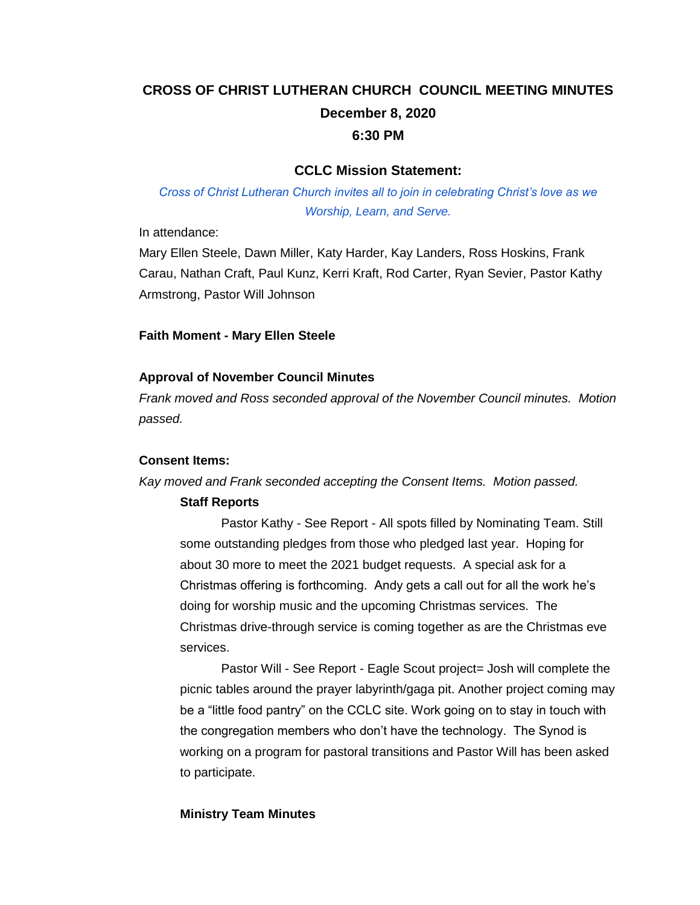# **CROSS OF CHRIST LUTHERAN CHURCH COUNCIL MEETING MINUTES December 8, 2020 6:30 PM**

### **CCLC Mission Statement:**

*Cross of Christ Lutheran Church invites all to join in celebrating Christ's love as we Worship, Learn, and Serve.*

In attendance:

Mary Ellen Steele, Dawn Miller, Katy Harder, Kay Landers, Ross Hoskins, Frank Carau, Nathan Craft, Paul Kunz, Kerri Kraft, Rod Carter, Ryan Sevier, Pastor Kathy Armstrong, Pastor Will Johnson

#### **Faith Moment - Mary Ellen Steele**

#### **Approval of November Council Minutes**

*Frank moved and Ross seconded approval of the November Council minutes. Motion passed.*

#### **Consent Items:**

*Kay moved and Frank seconded accepting the Consent Items. Motion passed.*

### **Staff Reports**

Pastor Kathy - See Report - All spots filled by Nominating Team. Still some outstanding pledges from those who pledged last year. Hoping for about 30 more to meet the 2021 budget requests. A special ask for a Christmas offering is forthcoming. Andy gets a call out for all the work he's doing for worship music and the upcoming Christmas services. The Christmas drive-through service is coming together as are the Christmas eve services.

Pastor Will - See Report - Eagle Scout project= Josh will complete the picnic tables around the prayer labyrinth/gaga pit. Another project coming may be a "little food pantry" on the CCLC site. Work going on to stay in touch with the congregation members who don't have the technology. The Synod is working on a program for pastoral transitions and Pastor Will has been asked to participate.

### **Ministry Team Minutes**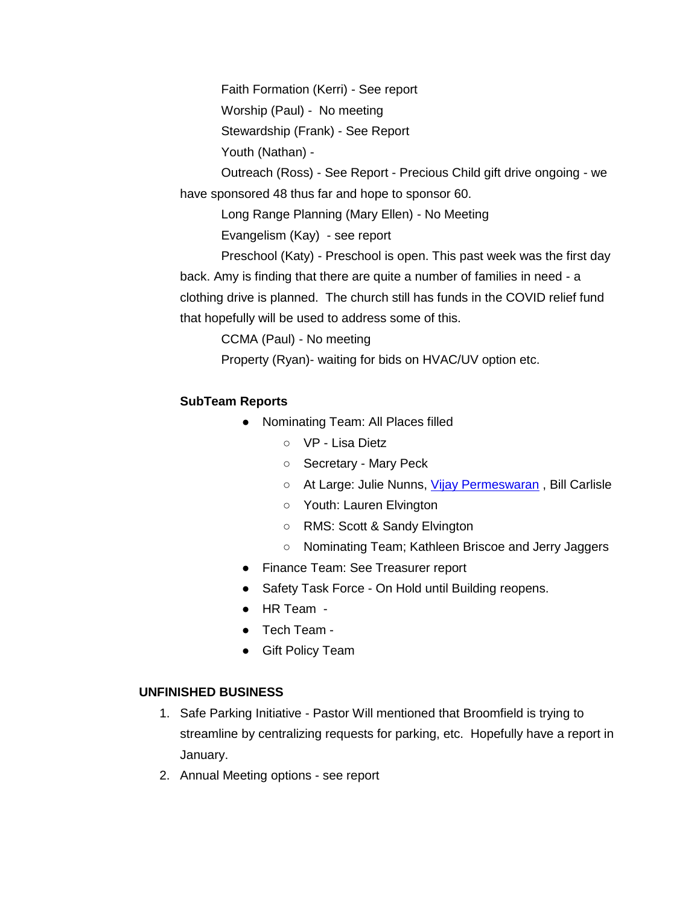Faith Formation (Kerri) - See report

Worship (Paul) - No meeting

Stewardship (Frank) - See Report

Youth (Nathan) -

Outreach (Ross) - See Report - Precious Child gift drive ongoing - we have sponsored 48 thus far and hope to sponsor 60.

Long Range Planning (Mary Ellen) - No Meeting

Evangelism (Kay) - see report

Preschool (Katy) - Preschool is open. This past week was the first day back. Amy is finding that there are quite a number of families in need - a clothing drive is planned. The church still has funds in the COVID relief fund that hopefully will be used to address some of this.

CCMA (Paul) - No meeting

Property (Ryan)- waiting for bids on HVAC/UV option etc.

## **SubTeam Reports**

- Nominating Team: All Places filled
	- VP Lisa Dietz
	- Secretary Mary Peck
	- At Large: Julie Nunns, [Vijay Permeswaran](mailto:vpermeswaran@gmail.com) , Bill Carlisle
	- Youth: Lauren Elvington
	- RMS: Scott & Sandy Elvington
	- Nominating Team; Kathleen Briscoe and Jerry Jaggers
- Finance Team: See Treasurer report
- Safety Task Force On Hold until Building reopens.
- HR Team -
- Tech Team -
- Gift Policy Team

## **UNFINISHED BUSINESS**

- 1. Safe Parking Initiative Pastor Will mentioned that Broomfield is trying to streamline by centralizing requests for parking, etc. Hopefully have a report in January.
- 2. Annual Meeting options see report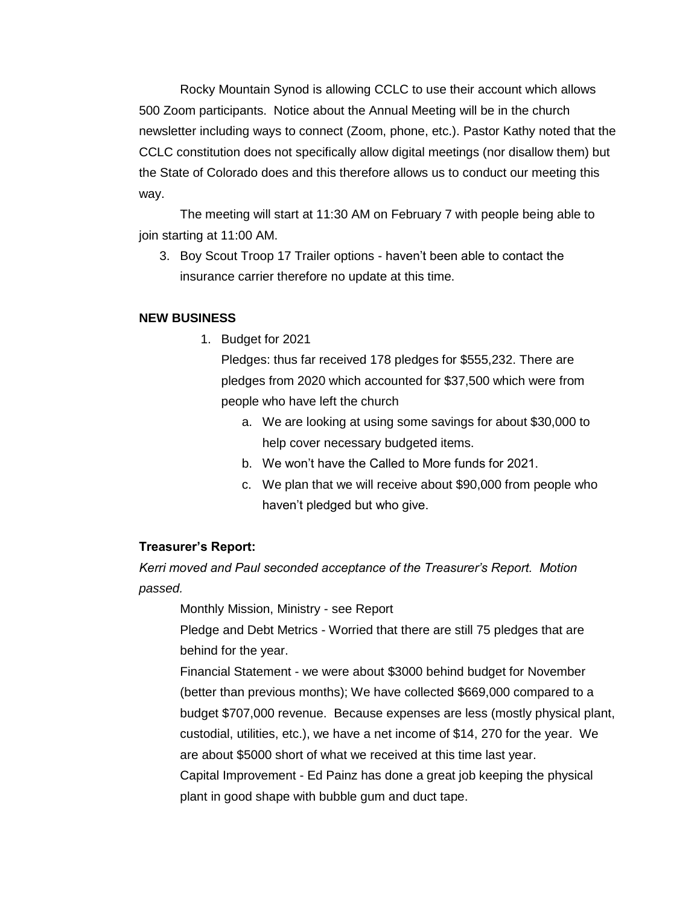Rocky Mountain Synod is allowing CCLC to use their account which allows 500 Zoom participants. Notice about the Annual Meeting will be in the church newsletter including ways to connect (Zoom, phone, etc.). Pastor Kathy noted that the CCLC constitution does not specifically allow digital meetings (nor disallow them) but the State of Colorado does and this therefore allows us to conduct our meeting this way.

The meeting will start at 11:30 AM on February 7 with people being able to join starting at 11:00 AM.

3. Boy Scout Troop 17 Trailer options - haven't been able to contact the insurance carrier therefore no update at this time.

#### **NEW BUSINESS**

1. Budget for 2021

Pledges: thus far received 178 pledges for \$555,232. There are pledges from 2020 which accounted for \$37,500 which were from people who have left the church

- a. We are looking at using some savings for about \$30,000 to help cover necessary budgeted items.
- b. We won't have the Called to More funds for 2021.
- c. We plan that we will receive about \$90,000 from people who haven't pledged but who give.

#### **Treasurer's Report:**

*Kerri moved and Paul seconded acceptance of the Treasurer's Report. Motion passed.*

Monthly Mission, Ministry - see Report

Pledge and Debt Metrics - Worried that there are still 75 pledges that are behind for the year.

Financial Statement - we were about \$3000 behind budget for November (better than previous months); We have collected \$669,000 compared to a budget \$707,000 revenue. Because expenses are less (mostly physical plant, custodial, utilities, etc.), we have a net income of \$14, 270 for the year. We are about \$5000 short of what we received at this time last year. Capital Improvement - Ed Painz has done a great job keeping the physical plant in good shape with bubble gum and duct tape.